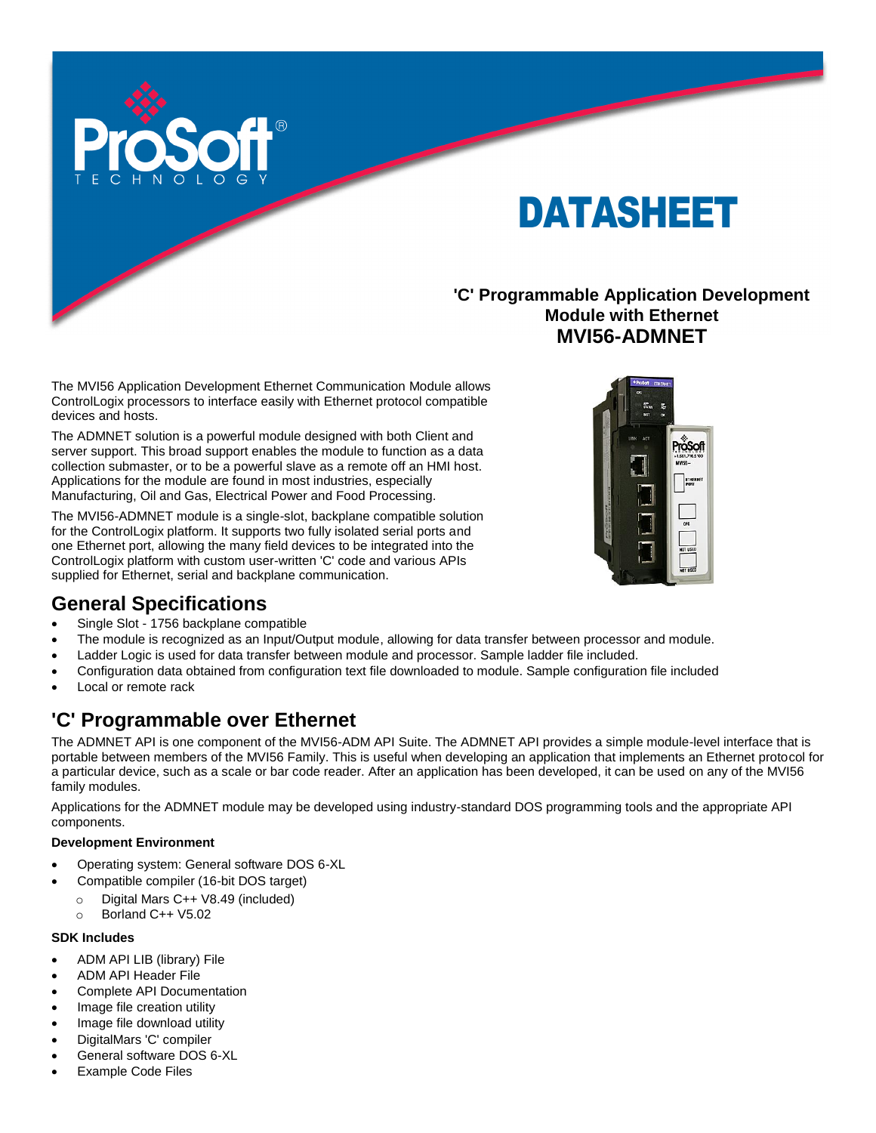

# DATASHEET

#### **'C' Programmable Application Development Module with Ethernet MVI56-ADMNET**

The MVI56 Application Development Ethernet Communication Module allows ControlLogix processors to interface easily with Ethernet protocol compatible devices and hosts.

The ADMNET solution is a powerful module designed with both Client and server support. This broad support enables the module to function as a data collection submaster, or to be a powerful slave as a remote off an HMI host. Applications for the module are found in most industries, especially Manufacturing, Oil and Gas, Electrical Power and Food Processing.

The MVI56-ADMNET module is a single-slot, backplane compatible solution for the ControlLogix platform. It supports two fully isolated serial ports and one Ethernet port, allowing the many field devices to be integrated into the ControlLogix platform with custom user-written 'C' code and various APIs supplied for Ethernet, serial and backplane communication.



### **General Specifications**

- Single Slot 1756 backplane compatible
- The module is recognized as an Input/Output module, allowing for data transfer between processor and module.
- Ladder Logic is used for data transfer between module and processor. Sample ladder file included.
- Configuration data obtained from configuration text file downloaded to module. Sample configuration file included
- Local or remote rack

### **'C' Programmable over Ethernet**

The ADMNET API is one component of the MVI56-ADM API Suite. The ADMNET API provides a simple module-level interface that is portable between members of the MVI56 Family. This is useful when developing an application that implements an Ethernet protocol for a particular device, such as a scale or bar code reader. After an application has been developed, it can be used on any of the MVI56 family modules.

Applications for the ADMNET module may be developed using industry-standard DOS programming tools and the appropriate API components.

#### **Development Environment**

- Operating system: General software DOS 6-XL
- Compatible compiler (16-bit DOS target)
	- o Digital Mars C++ V8.49 (included)
	- o Borland C++ V5.02

#### **SDK Includes**

- ADM API LIB (library) File
- ADM API Header File
- Complete API Documentation
- Image file creation utility
- Image file download utility
- DigitalMars 'C' compiler
- General software DOS 6-XL
- Example Code Files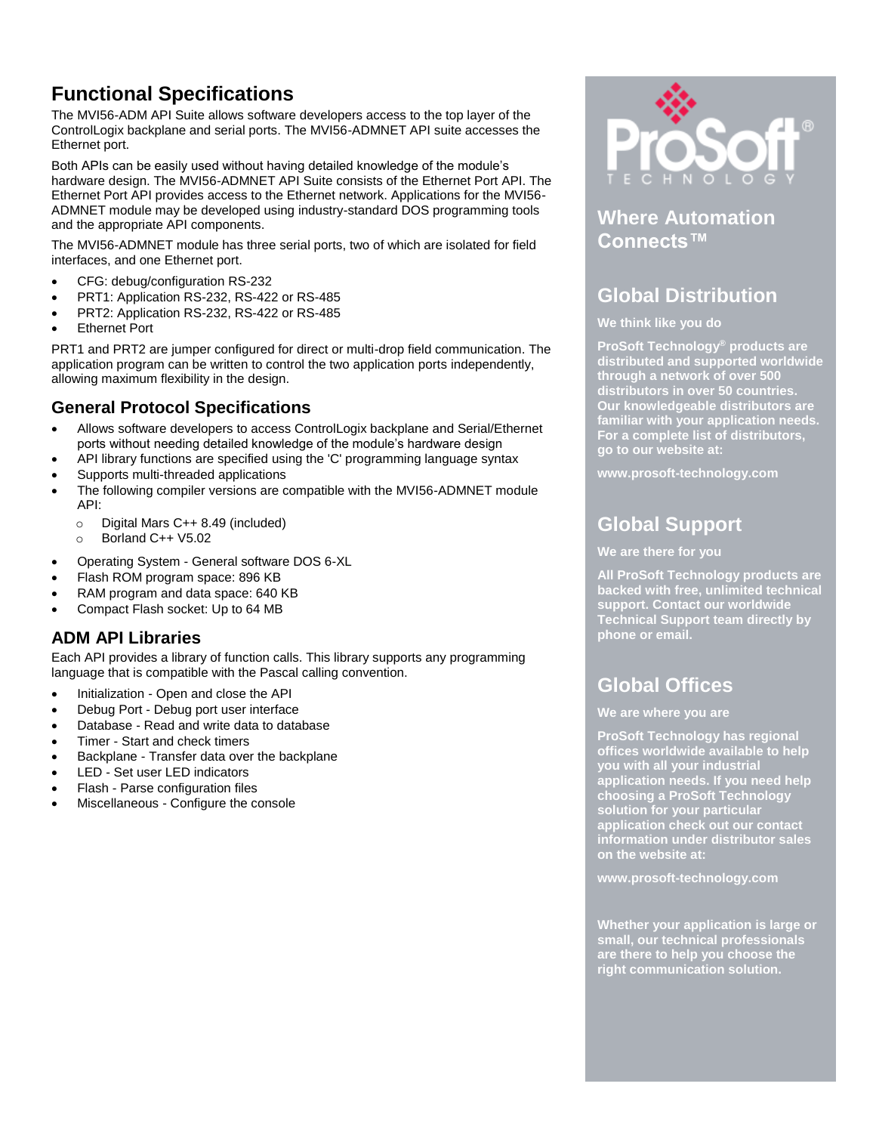# **Functional Specifications**

The MVI56-ADM API Suite allows software developers access to the top layer of the ControlLogix backplane and serial ports. The MVI56-ADMNET API suite accesses the Ethernet port.

Both APIs can be easily used without having detailed knowledge of the module's hardware design. The MVI56-ADMNET API Suite consists of the Ethernet Port API. The Ethernet Port API provides access to the Ethernet network. Applications for the MVI56- ADMNET module may be developed using industry-standard DOS programming tools and the appropriate API components.

The MVI56-ADMNET module has three serial ports, two of which are isolated for field interfaces, and one Ethernet port.

- CFG: debug/configuration RS-232
- PRT1: Application RS-232, RS-422 or RS-485
- PRT2: Application RS-232, RS-422 or RS-485
- Ethernet Port

PRT1 and PRT2 are jumper configured for direct or multi-drop field communication. The application program can be written to control the two application ports independently, allowing maximum flexibility in the design.

#### **General Protocol Specifications**

- Allows software developers to access ControlLogix backplane and Serial/Ethernet ports without needing detailed knowledge of the module's hardware design
- API library functions are specified using the 'C' programming language syntax
- Supports multi-threaded applications
- The following compiler versions are compatible with the MVI56-ADMNET module API:
	- o Digital Mars C++ 8.49 (included)
	- o Borland C++ V5.02
- Operating System General software DOS 6-XL
- Flash ROM program space: 896 KB
- RAM program and data space: 640 KB
- Compact Flash socket: Up to 64 MB

#### **ADM API Libraries**

Each API provides a library of function calls. This library supports any programming language that is compatible with the Pascal calling convention.

- Initialization Open and close the API
- Debug Port Debug port user interface
- Database Read and write data to database
- Timer Start and check timers
- Backplane Transfer data over the backplane
- LED Set user LED indicators
- Flash Parse configuration files
- Miscellaneous Configure the console



#### **Where Automation Connects™**

## **Global Distribution**

#### **We think like you do**

**ProSoft Technology® products are distributed and supported worldwide through a network of over 500 distributors in over 50 countries. Our knowledgeable distributors are familiar with your application needs. For a complete list of distributors, go to our website at:**

**www.prosoft-technology.com**

## **Global Support**

#### **We are there for you**

**All ProSoft Technology products are backed with free, unlimited technical support. Contact our worldwide Technical Support team directly by phone or email.**

### **Global Offices**

#### **We are where you are**

**ProSoft Technology has regional offices worldwide available to help you with all your industrial application needs. If you need help choosing a ProSoft Technology solution for your particular application check out our contact information under distributor sales on the website at:**

**www.prosoft-technology.com**

**Whether your application is large or small, our technical professionals are there to help you choose the right communication solution.**